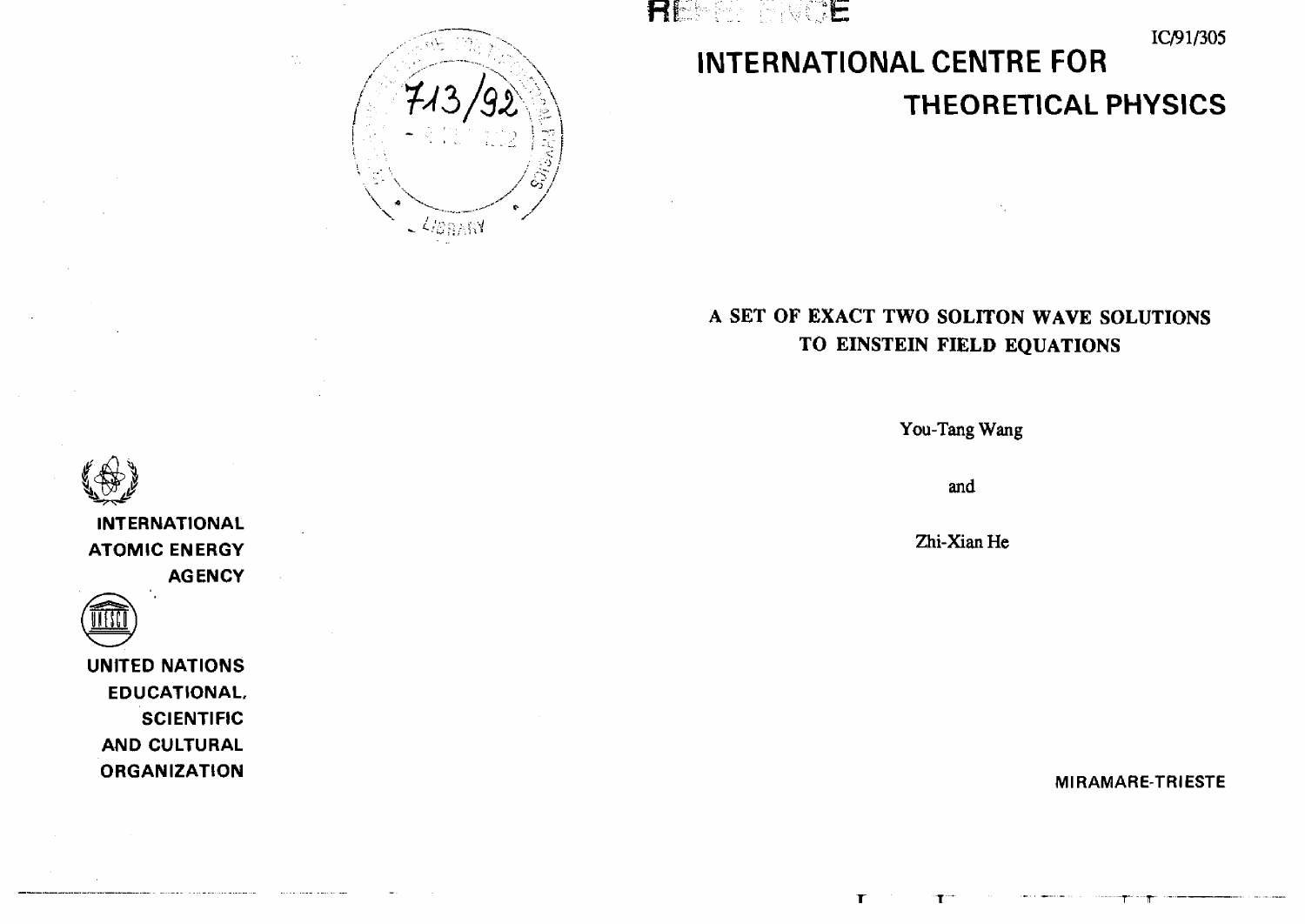

# **REFERENCE**

# IC/91/305 **INTERNATIONAL CENTRE FOR THEORETICAL PHYSICS**

# A SET **OF EXACT TWO SOLITON WAVE SOLUTIONS TO EINSTEIN FIELD EQUATIONS**

You-Tang Wang

and

Zhi-Xian He

 $\mathbf{T}$ 

**MIRAMARE-TRIESTE**

**T—r**

**INTERNATIONAL ATOMIC ENERGY**

**AGENCY**



**UNITED NATIONS EDUCATIONAL, SCIENTIFIC AND CULTURAL ORGANIZATION**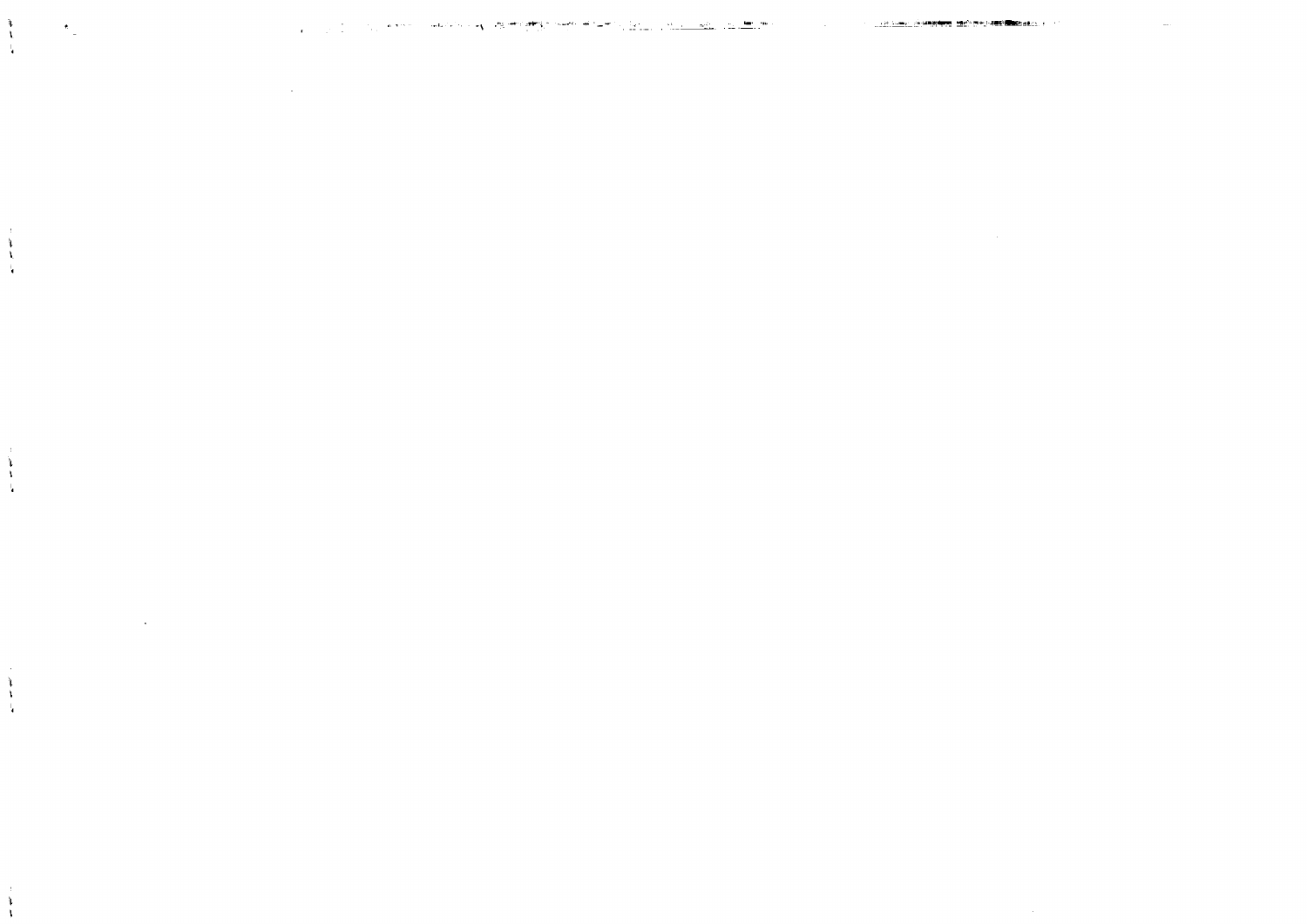$\mathcal{L}(\mathcal{L}(\mathcal{L}))$  and  $\mathcal{L}(\mathcal{L}(\mathcal{L}))$  . The contribution of the contribution of  $\mathcal{L}(\mathcal{L})$ 

 $\mathcal{L}(\mathcal{L}(\mathcal{L}))$  . The contract of the contract of the contract of the contract of

 $\begin{array}{c} \mathbf{a} \\ \mathbf{b} \\ \mathbf{c} \end{array}$ 

 $\begin{array}{c} 1 \\ 1 \\ 1 \\ 1 \end{array}$ 

 $\begin{array}{c} 1 \\ 1 \\ 1 \\ 1 \end{array}$ 

 $\begin{array}{c} \begin{array}{c} \cdot \\ \cdot \\ \cdot \end{array} \\ \begin{array}{c} \cdot \\ \cdot \end{array} \end{array}$ 

 $\frac{1}{1}$ 

 $\mathcal{O}(\mathbf{e}^{2})$  . The set of  $\mathcal{O}(\mathbf{e}^{2})$ 

 $\label{eq:2.1} \mathcal{L}(\mathcal{L}(\mathcal{L})) = \mathcal{L}(\mathcal{L}(\mathcal{L})) = \mathcal{L}(\mathcal{L}(\mathcal{L})) = \mathcal{L}(\mathcal{L}(\mathcal{L})) = \mathcal{L}(\mathcal{L}(\mathcal{L}))$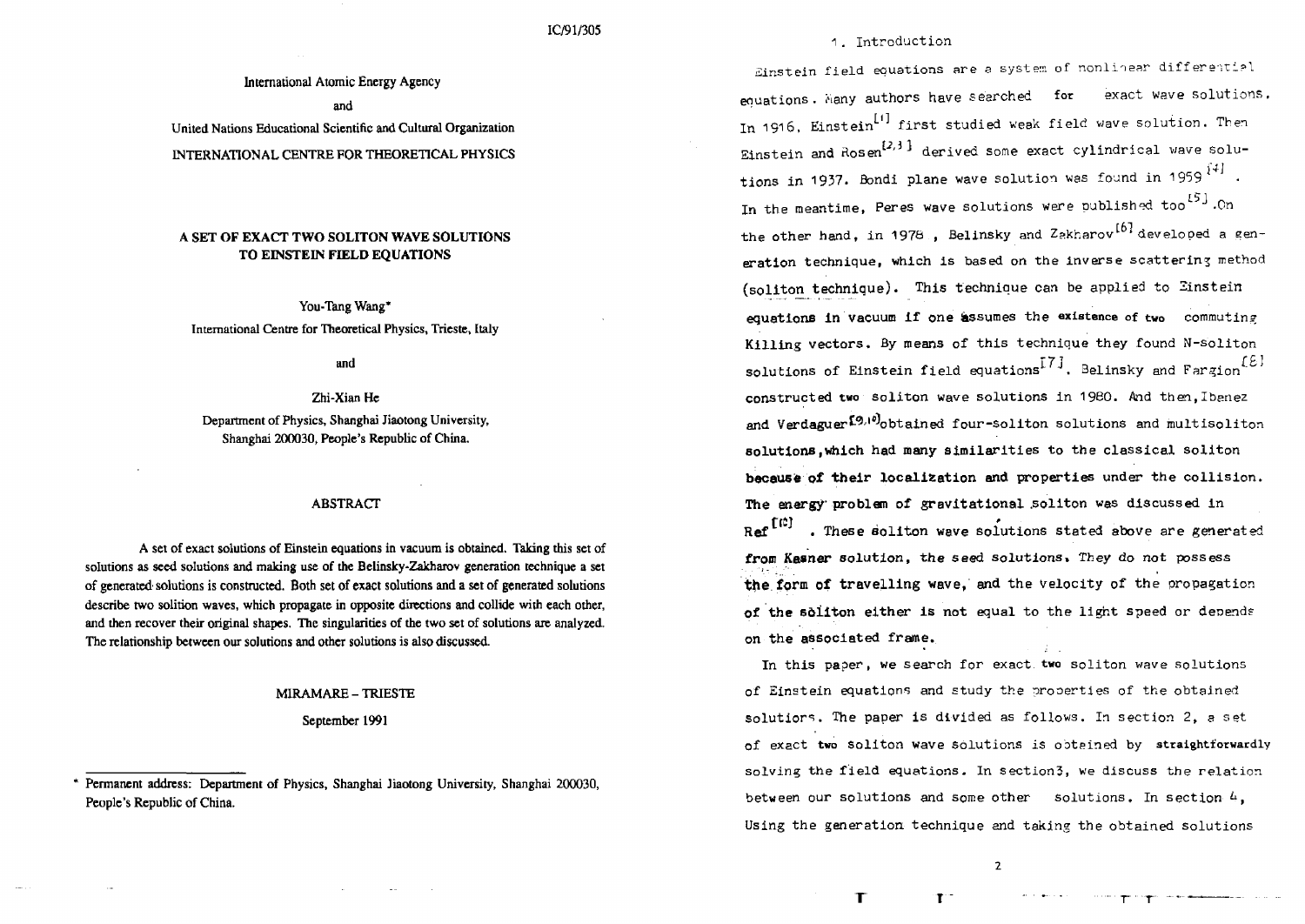#### IC/91/305

#### International Atomic Energy Agency

and United Nations Educational Scientific and Cultural Organization INTERNATIONAL CENTRE FOR THEORETICAL PHYSICS

### A SET OF EXACT TWO SOLITON WAVE SOLUTIONS TO EINSTEIN FIELD EQUATIONS

You-Tang Wang\* International Centre for Theoretical Physics, Trieste, Italy

and

# Zhi-Xian He Department of Physics, Shanghai Jiaotong University, Shanghai 200030, People's Republic of China.

#### ABSTRACT

A set of exact solutions of Einstein equations in vacuum is obtained. Taking this set of solutions as seed solutions and making use of the Belinsky-Zakharov generation technique a set of generated' solutions is constructed. Both set of exact solutions and a set of generated solutions describe two solition waves, which propagate in opposite directions and collide with each other, and then recover their original shapes. The singularities of the two set of solutions are analyzed. The relationship between our solutions and other solutions is also discussed.

MIRAMARE - TRIESTE

September 1991

Permanent address: Department of Physics, Shanghai Jiaotong University, Shanghai 200030, People's Republic of China.

#### 1. Introduction

Einstein field equations are a system of nonlinear differential equations, Many authors have searched for exact wave solutions. In 1916, Einstein $^{[1]}$  first studied weak field wave solution. Then Einstein and Rosen $^{\{2,3\}}$  derived some exact cylindrical wave solutions in 1937. Bondi plane wave solution was found in 1959  $^{[4]}$ . In the meantime. Peres wave solutions were published too<sup>15</sup> J. On the other hand, in 1978 . Belinsky and Zekharov $^{\lceil b \rceil}$  developed a generation technique, which is based *on* the inverse scattering method (soliton technique). This technique can be applied to 2instein equations in vacuum if one assumes the existence of two commuting Killing vectors. By means of this technique they found N-soliton solutions of Einstein field equations  $[7]$ . Belinsky and Fargion constructed two soliton wave solutions in 19B0. And then.Ibanez and Verdaguer<sup>[9</sup>/<sup>10</sup>/obtained four-soliton solutions and multisoliton solutions,which had many similarities to the classical soliton because of their localization and properties under the collision. The energy problem of gravitational soliton was discussed in  $Ref^{[i]}$  . These soliton wave solutions stated above are generated from Kasner solution, the seed solutions, They do not possess the form of travelling wave, and the velocity of the propagation of the soliton either is not equal to the light speed or depends on the associated frame.

In this paper, we search for exact, two soliton wave solutions of Einstein equations and study the properties of the obtained solutiors. The paper is divided as follows. In section 2, a set of exact two Soliton wave solutions is obtained by straightforwardly solving the field equations. In section?, we discuss the relation between our solutions and some other solutions. In section  $4$ , Using the generation technique and taking the obtained solutions

 $\overline{2}$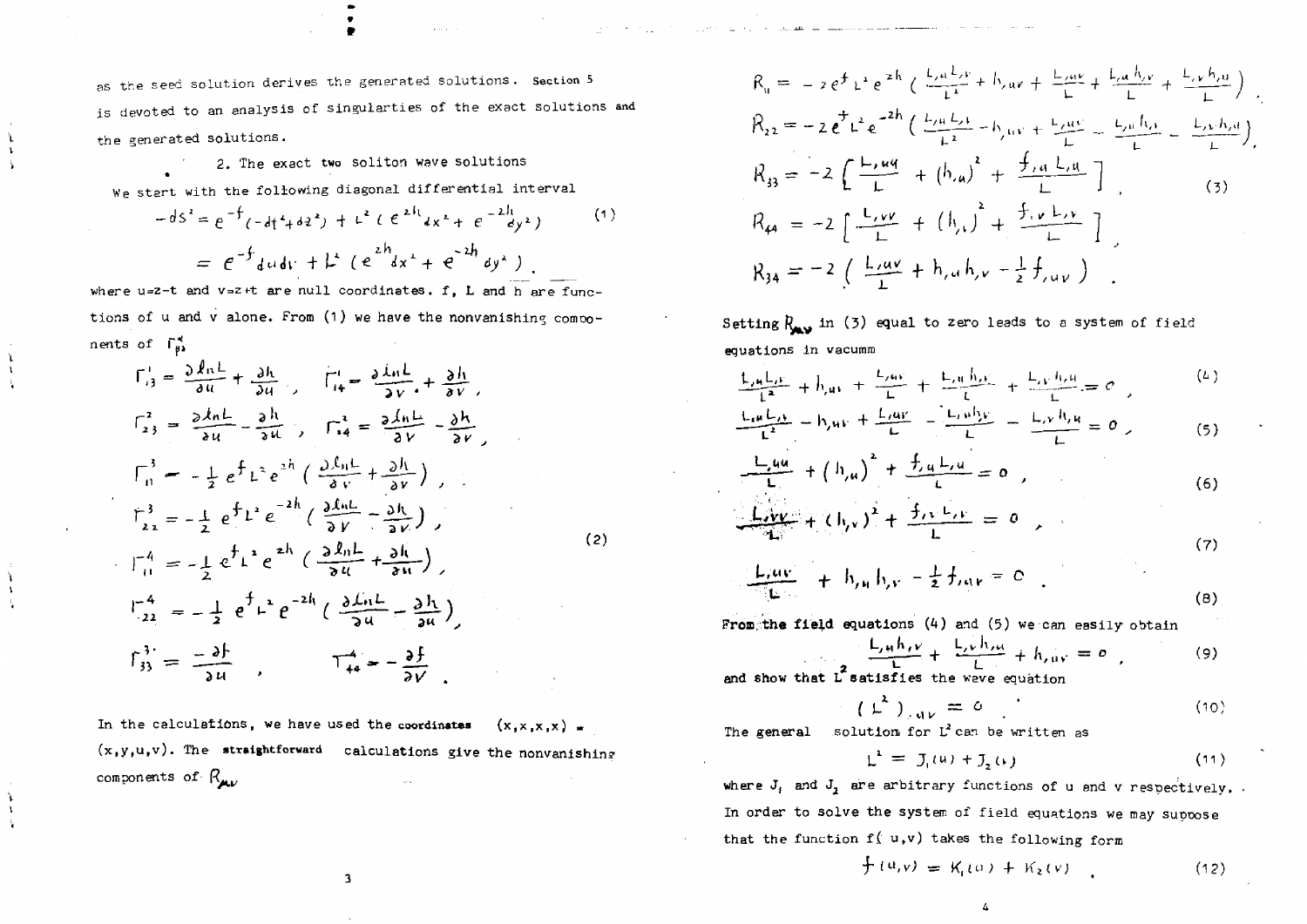as the seed solution derives the generated solutions. Section 5 is devoted to an analysis of singularties of the exact solutions and the generated solutions.

2. The exact two soliton wave solutions \* We start with the following diagonal differential interval

 $\mathbf{L}$ Å

$$
-ds^{2} = e^{-\frac{1}{2}}(-dt^{2}+dz^{2}) + L^{2}(e^{2h}dx^{2} + e^{-2h}dy^{2})
$$
\n
$$
= e^{-\frac{1}{2}}du dv^{2} + L^{2}(e^{2h}dx^{2} + e^{-2h}dy^{2}).
$$
\n(1)

where u=z-t and v=z+t are null coordinates. f, L and h are functions of  $u$  and  $v$  alone. From (1) we have the nonvanishing components of  $\Gamma_{\theta}^A$ 

$$
\Gamma_{i3}^{1} = \frac{\partial ln L}{\partial u} + \frac{\partial h}{\partial u}, \qquad \Gamma_{i4}^{1} = \frac{\partial ln L}{\partial v} + \frac{\partial h}{\partial v},
$$
\n
$$
\Gamma_{23}^{2} = \frac{\partial ln L}{\partial u} - \frac{\partial h}{\partial u}, \qquad \Gamma_{14}^{3} = \frac{\partial ln L}{\partial v} - \frac{\partial h}{\partial v},
$$
\n
$$
\Gamma_{11}^{3} = -\frac{1}{2} e^{\frac{f}{2}} L^{2} e^{-2h} \left( \frac{\partial ln L}{\partial v} + \frac{\partial h}{\partial v} \right),
$$
\n
$$
\Gamma_{21}^{3} = -\frac{1}{2} e^{\frac{f}{2}} L^{2} e^{-2h} \left( \frac{\partial ln L}{\partial v} - \frac{\partial h}{\partial v} \right),
$$
\n
$$
\Gamma_{11}^{4} = -\frac{1}{2} e^{\frac{f}{2}} L^{2} e^{-2h} \left( \frac{\partial ln L}{\partial u} + \frac{\partial h}{\partial u} \right),
$$
\n
$$
\Gamma_{22}^{4} = -\frac{1}{2} e^{\frac{f}{2}} L^{2} e^{-2h} \left( \frac{\partial ln L}{\partial u} - \frac{\partial h}{\partial u} \right),
$$
\n
$$
\Gamma_{33}^{3} = -\frac{\partial h}{\partial u}, \qquad \Gamma_{44}^{4} = -\frac{\partial f}{\partial v}.
$$
\n(2)

In the calculations, we have used the coordinates  $(x,x,x,x) =$  $(x,y,u,v)$ . The straightforward calculations give the nonvanishing components of  $R_{\text{av}}$ 

$$
R_{u} = -2 e^{\frac{t}{L}} L^{2} e^{-2h} \left( \frac{L_{\mu} L_{\nu}}{L^{2}} + h_{\mu} u + \frac{L_{\mu} u}{L} + \frac{L_{\mu} h_{\nu}}{L} + \frac{L_{\nu} h_{\mu} u}{L} \right)
$$
  
\n
$$
R_{22} = -2 e^{\frac{t}{L}} L^{2} e^{-2h} \left( \frac{L_{\mu} L_{\nu}}{L^{2}} - h_{\mu} u + \frac{L_{\mu} u}{L} - \frac{L_{\mu} h_{\mu}}{L} - \frac{L_{\nu} h_{\mu} u}{L} \right)
$$
  
\n
$$
R_{33} = -2 \left( \frac{L_{\mu} u}{L} + \left( h_{\mu} \right)^{2} + \frac{f_{\mu} u L_{\mu} u}{L} \right)
$$
  
\n
$$
R_{44} = -2 \left[ \frac{L_{\mu} u}{L} + \left( h_{\mu} \right)^{2} + \frac{f_{\mu} u L_{\nu} u}{L} \right]
$$
  
\n
$$
R_{34} = -2 \left( \frac{L_{\mu} u}{L} + h_{\mu} u h_{\mu} - \frac{1}{2} f_{\mu} u_{\nu} \right)
$$

Setting  $R_{\text{max}}$  in (3) equal to zero leads to a system of field equations in vacumm

$$
\frac{L_0 L_0 c}{L^2} + h_{\mu\nu} + \frac{L_0 a \nu}{L} + \frac{L_0 a h_{\nu\nu}}{L} + \frac{L_0 \nu h_{\nu\mu}}{L} = 0 \qquad (b)
$$
\n
$$
\frac{L_0 L_0 c}{L^2} - h_{\mu\nu} + \frac{L_0 a \nu}{L} - \frac{L_0 a h_{\nu\nu}}{L} - \frac{L_0 \nu h_{\mu\nu}}{L} = 0 \qquad (5)
$$

$$
\frac{L_{uu}}{L} + (h_{,u})^2 + \frac{f_{,u}L_{,u}}{L} = 0 \t\t(6)
$$

$$
\frac{1}{4} \frac{\sqrt{4} \sqrt{2}}{4} + (\frac{1}{2})^2 + \frac{1}{2} \frac{1}{2} = 0
$$
 (7)

$$
\frac{L_iuv}{(L_i)} + h_{i+1}h_{i+1} - \frac{1}{2}f_{i+1} = 0
$$
 (8)

From the field equations (4) and (5) we can easily obtain

$$
\frac{L_{ijk}h_{ik}}{2} + \frac{L_{ik}h_{ik}}{L} + h_{ik} = 0
$$
 (9)

and show that  $L^2$  satisfies the wave equation

$$
\left(\begin{array}{c}\n\mu^2\n\end{array}\right)_{\mu\alpha\nu} = 0 \tag{10}
$$

The general solution for  $L^2$  can be written as

$$
L^{2} = J_{1}(u) + J_{2}(u)
$$
 (11)

where  $J_i$  and  $J_j$  are arbitrary functions of u and v respectively. In order to solve the system of field equations we may suppose that the function  $f(u,v)$  takes the following form

 $\ddot{4}$ 

$$
f(u,v) = K_1(v) + K_2(v) \t\t(12)
$$

3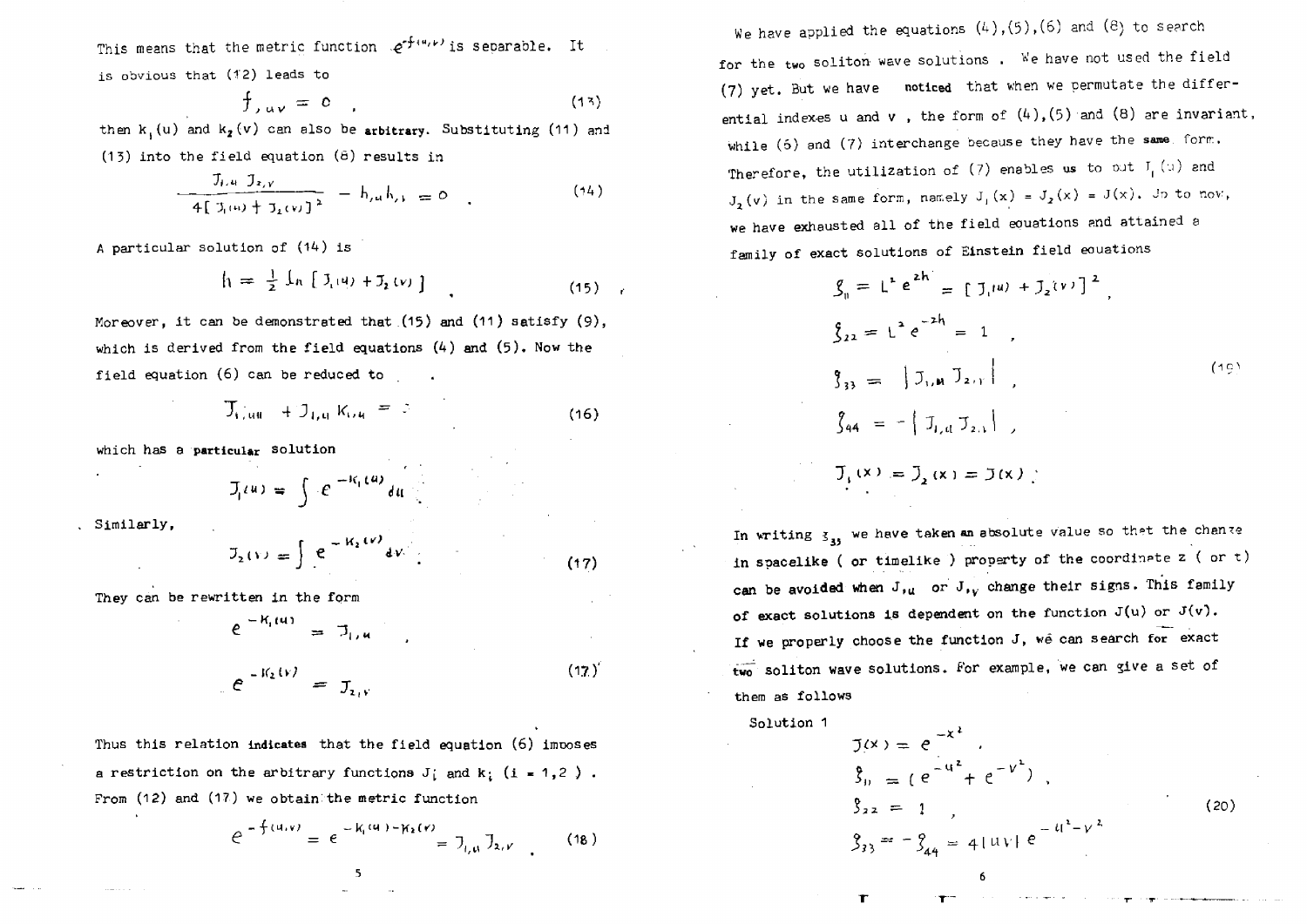This means that the metric function  $e^{f(u,\nu)}$  is separable. It is obvious that (12) leads to

$$
f_{\mu\nu} = 0 \t\t(13)
$$

then  $k_i(u)$  and  $k_2(v)$  can also be arbitrary. Substituting (11) and (13) into the field equation (6) results in

$$
\frac{J_{i,u} J_{z,v}}{4[\,J_{i}(u) + J_{z}(v)]^2} = h_{i,u} h_{i,v} = 0 \quad . \tag{14}
$$

A particular solution of  $(14)$  is

$$
h = \frac{1}{2} \ln [J_1(u) + J_2(v)]
$$
 (15)

Moreover, it can be demonstrated that  $(15)$  and  $(11)$  satisfy  $(9)$ , which is derived from the field equations (4) and (5). Now the field equation (6) can be reduced to

$$
T_{i,uu} + T_{i,u} K_{i,u} = 0
$$
 (16)

which has a particular solution

$$
\mathcal{I}_i(u) = \int e^{-i\zeta_i(u)} du
$$

Similarly,

$$
\mathcal{I}_2(v) = \int e^{-K_2(v)} dv.
$$
 (17)

They can be rewritten in the form

$$
e^{-K_{i}(u)} = J_{i,u}
$$
  
\n
$$
e^{-K_{i}(v)} = J_{i,v}
$$
\n(12)

Thus this relation indicates that the field equation  $(6)$  imposes a restriction on the arbitrary functions  $J_i$  and  $k_i$  (i = 1,2). From (12) and (17) we obtain:the metric function

5

$$
e^{-\frac{1}{2}(u,v)} = e^{-k_1(u) - \gamma_2(v)} = J_{i,u} J_{\lambda,v} \qquad (18)
$$

We have applied the equations  $(4)$ ,  $(5)$ ,  $(6)$  and  $(8)$  to search for the two soliton wave solutions. We have not used the field  $(7)$  yet. But we have noticed that when we permutate the differential indexes u and v, the form of  $(4)$ , (5) and (8) are invariant, while (5) and (7) interchange because they have the same, form. Therefore, the utilization of (7) enables us to out  $I_{\mu}(\omega)$  and  $J_2(v)$  in the same form, namely  $J_1(x) = J_2(x) = J(x)$ . Jo to nov, we have exhausted all of the field equations and attained a family of exact solutions of Einstein field eouations

$$
g_{n} = L^{n} e^{2h} = [J_{1}(u) + J_{2}(v)]^{2},
$$
  
\n
$$
g_{22} = L^{n} e^{-2h} = 1,
$$
  
\n
$$
g_{33} = [J_{1,1} J_{2,1}],
$$
  
\n
$$
g_{44} = -[J_{1,4} J_{2,1}],
$$
  
\n
$$
J_{1}(x) = J_{2}(x) = J(x);
$$
  
\n(19)

In writing  $\mathfrak{s}_{33}$  we have taken an absolute value so that the change in spacelike ( or tlmelike ) property of the coordinate z ( or t) can be avoided when  $J_{\mu\nu}$  or  $J_{\mu\nu}$  change their signs. This family of exact solutions is dependent on the function  $J(u)$  or  $J(v)$ . If we properly choose the function J, we can search for exact two soliton wave solutions. For example, we can give a set of them as follows

Solution 1

т

$$
J(x) = e^{-x^{2}}
$$
  
\n
$$
\hat{S}_{11} = (e^{-u^{2}} + e^{-v^{2}})
$$
  
\n
$$
\hat{S}_{22} = 1
$$
  
\n
$$
\hat{S}_{33} = -\hat{S}_{44} = 4|uv|e^{-u^{2}-v^{2}}
$$
  
\n6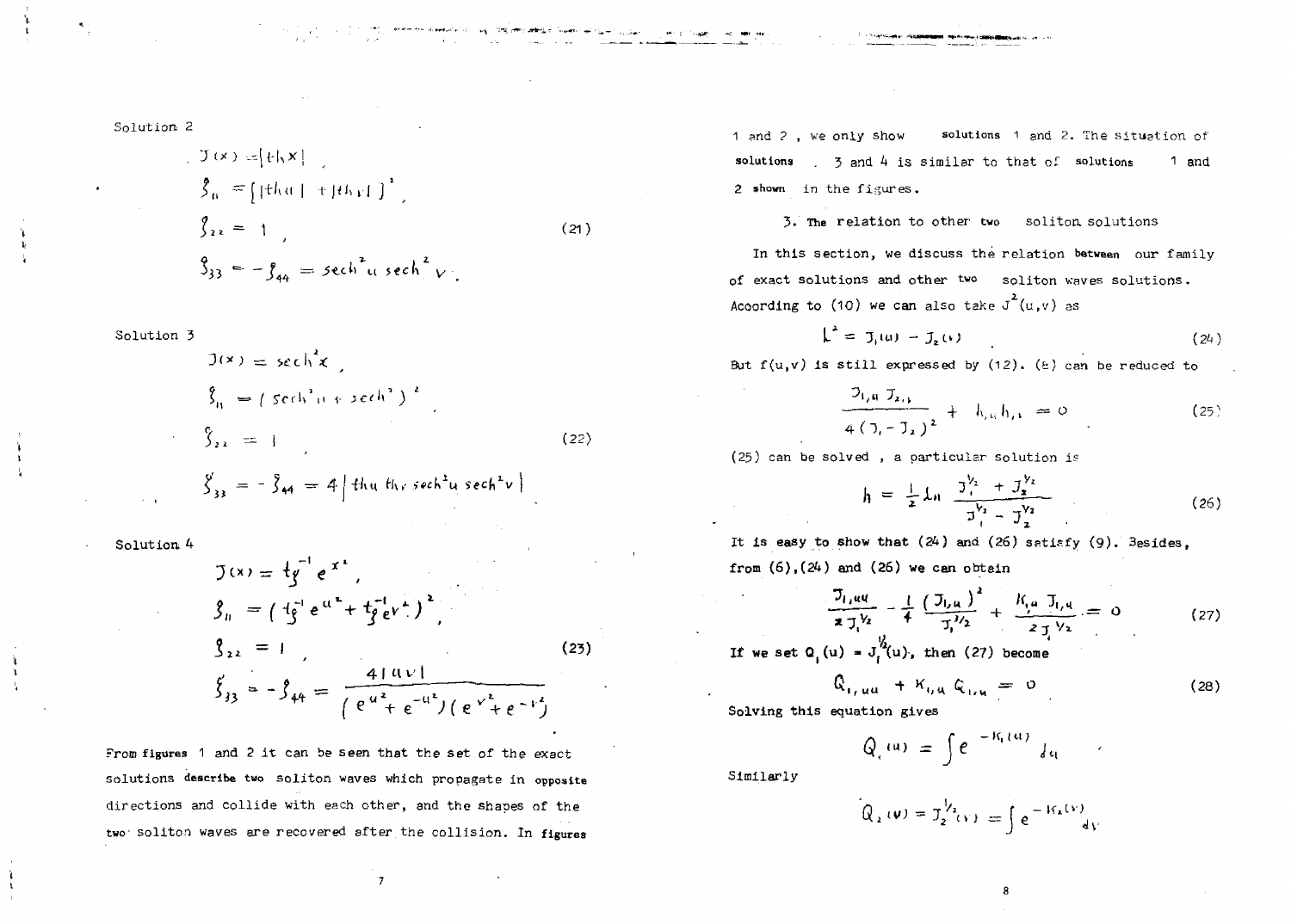Solution 2

$$
J(x) = \{t | x \}
$$
  
\n
$$
\int_{a}^{b} = \left[ \{t | a + t | t | x \} \right]^{a},
$$
  
\n
$$
\int_{2}^{b} = 1,
$$
  
\n
$$
\int_{3}^{b} = -\int_{4}^{b} = sech^{2} u sech^{2} v.
$$
\n(21)

Solution 3

$$
J(x) = sech^{2}x
$$
  
\n
$$
\int_{0}^{a} = (sech^{2}u + sech^{2})^{2}
$$
  
\n
$$
\int_{2a}^{a} = 1
$$
 (22)  
\n
$$
\int_{33}^{a} = -\int_{44}^{a} = 4 \left| \int_{0}^{a} du \int_{0}^{b} sech^{2}u \int_{0}^{b}dv \right|
$$

Solution 4

$$
J(x) = \frac{1}{2} e^{x^2},
$$
  
\n
$$
S_n = (\frac{1}{2} e^{u^2} + \frac{1}{2} e^{v^2})^2,
$$
  
\n
$$
S_{22} = 1,
$$
  
\n
$$
S_{33} = -S_{44} = \frac{410v!}{(e^{u^2} + e^{-u^2})(e^{v^2} + e^{-v^2})}
$$
\n(23)

From figures 1 and 2 it can be seen that the set of the exact solutions describe two soliton waves which propagate in opposite directions and collide with each other, and the shapes of the two soliton waves are recovered after the collision. In figures

1 and ? , we only show solutions 1 and 2. The situation of solutions . 3 and 4 is similar to that of solutions 1 and 2 shown in the figures.

## 3. The relation to other two soliton. solutions

In this section, we discuss the relation between our family of exact solutions and other two soliton waves solutions. Acoording to (10) we can also take  $J^2(u,v)$  as

$$
\mathcal{L}^{\prime} = \mathfrak{I}_{1}(\mathfrak{u}) - \mathfrak{I}_{2}(\mathfrak{t}) \tag{24}
$$

But  $f(u,v)$  is still expressed by  $(12)$ . (8) can be reduced to

$$
\frac{D_{1,4} T_{2,3}}{4 (D_1 - D_2)^2} + h_{1,4} h_{1,3} = 0
$$
 (25)

(25) can be solved , a particular solution *is*

$$
h = \frac{1}{2} L_0 \frac{J_1^{V_2} + J_2^{V_2}}{J_1^{V_2} - J_2^{V_2}}
$$
 (26)

It is easy to show that  $(24)$  and  $(26)$  satisfy  $(9)$ . Besides, from  $(6)$ , $(24)$  and  $(26)$  we can obtain

$$
\frac{J_{1,1}u}{\pi J_1^{V_2}} - \frac{1}{4} \frac{(\frac{J_{1,1}}{J_1^{3/2}})^2}{\pi J_1^{3/2}} + \frac{K_{1,1} J_{1,1}}{\pi J_1^{3/2}} = 0
$$
 (27)

**If we set Q<sub>i</sub>**(**u**) =  $J_i^2(u)$ , then (27) become

$$
\mathbb{Q}_{1, \mu\mu} + K_{i, \mu} \mathbb{Q}_{1, \mu} = 0 \tag{28}
$$

Solving this equation gives

$$
Q_{\epsilon}(u) = \int e^{-K_{\epsilon}(u)} du
$$

Similarly

$$
Q_2(v) = J_2^{V_2}(v) = \int e^{-K_1(v)} \, dv
$$

8

 $\overline{I}$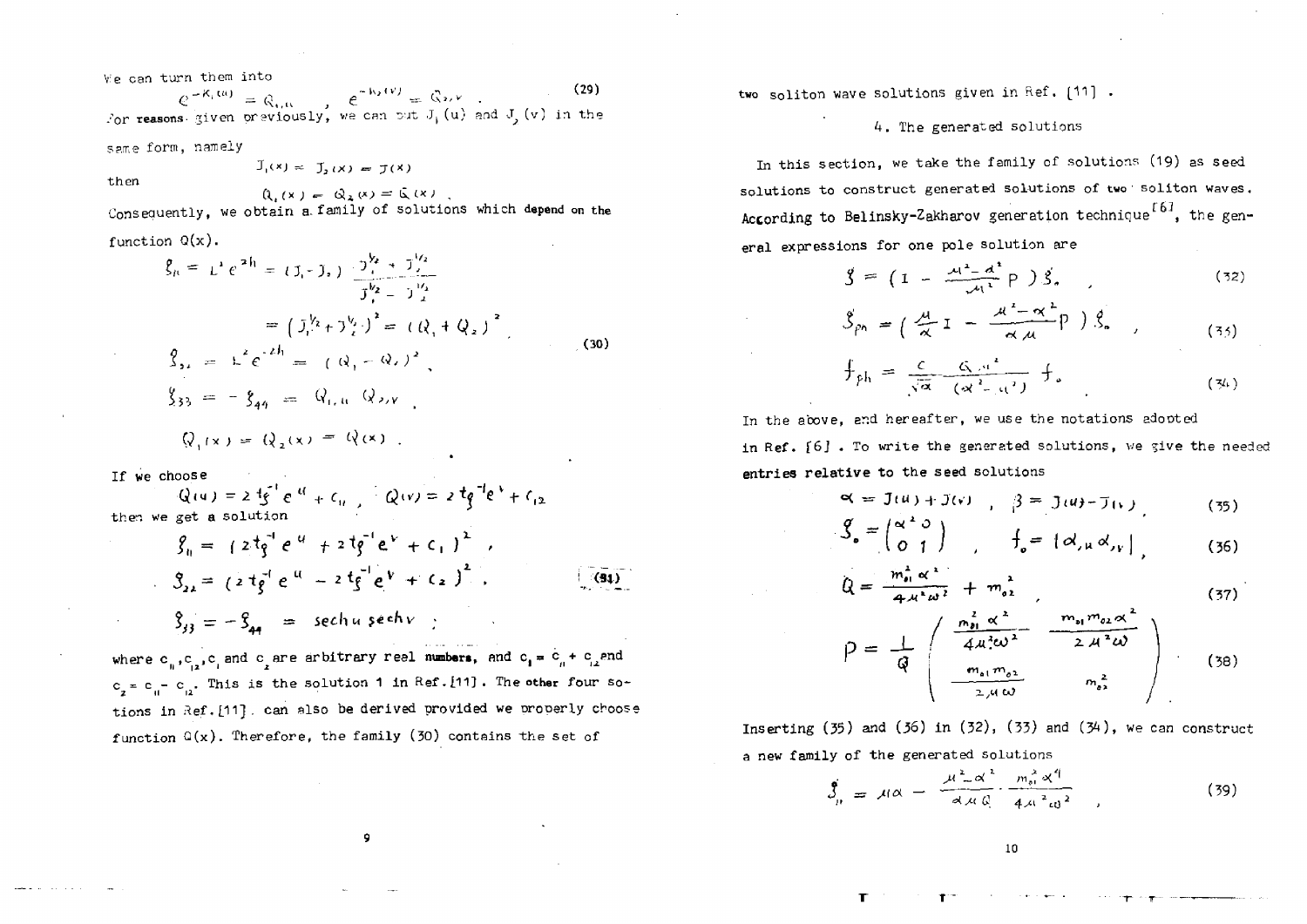Ve can turn them into

 $e^{-K_i(u)} = \mathbb{Q}_{i_1, u_1}$ ,  $e^{-K_i(v)} = \mathbb{Q}_{i_2, v_2}$  (29)  $N_{\rm O\!P}$  reasons- given previously, we can put  ${\rm J}_1^{\phantom{\dagger}}(u)$  and  ${\rm J}_2^{\phantom{\dagger}}(v)$  in the

same form, namely

 $J_1(x) = J_2(x) = J(x)$ 

then

 $\mathbb{Q}_{2}(x) = \mathbb{Q}_{2}(x) = \mathbb{Q}(x)$ ,

Conseauently, we obtain a. family of solutions which depend on the

function Q(x).

$$
\mathcal{E}_n = L^2 e^{-2h} = (J_i - J_2) \frac{J_1^{V_2} + J_2^{V_2}}{J_1^{V_2} - J_{12}^{V_2}}
$$
  
\n
$$
= (J_1^{V_2} + J_2^{V_2})^2 = (Q_1 + Q_2)^2
$$
  
\n
$$
\mathcal{E}_{22} = L^2 e^{-2h} = (Q_1 - Q_2)^2
$$
  
\n
$$
\mathcal{E}_{33} = -\mathcal{E}_{44} = Q_{1,11} (Q_{2,11})
$$
  
\n
$$
Q_1(x) = Q_2(x) = Q(x).
$$
 (30)

If we choose<br>  $Q(u) = 2 \frac{1}{3} \epsilon^{d} + c_{u}$ ,  $Q(v) = 2 \frac{1}{3} \epsilon^{d} + c_{12}$ *then* we get a solution

$$
\begin{aligned}\n\mathcal{G}_0 &= \left(2^{\frac{1}{2}} \zeta^0 e^{u} + 2^{\frac{1}{2}} \zeta^0 e^{v} + C_1\right)^2, \\
\mathcal{G}_{22} &= \left(2^{\frac{1}{2}} \zeta^0 e^{u} - 2^{\frac{1}{2}} \zeta^0 e^{v} + C_2\right)^2, \\
\end{aligned}
$$

$$
\beta_{j3} = -\beta_{44} = \text{sechu sech} \qquad ;
$$

where c<sub>n</sub>,c<sub>1</sub>,c<sub>1</sub> and c<sub>2</sub> are arbitrary reel numbers, and c<sub>1</sub> = c<sub>n</sub> + c<sub>1</sub> end  $c_ = c_ - c_ -$ . This is the solution 1 in Ref. [11]. The other four sotions in Ref.[11], can also be derived provided we properly choose function  $Q(x)$ . Therefore, the family (30) contains the set of

9

two soliton wave solutions given in Ref. [11] .

## *h.* The generated solutions

In this section, we take the family of solutions (19) as seed solutions to construct generated solutions of two soliton waves. According to Belinsky-Zakharov generation technique<sup> $[6]$ </sup>, the general expressions for one pole solution are

$$
\hat{S} = (1 - \frac{\mu^2 - d^2}{\mu^2} P) \hat{S}, \qquad (52)
$$

$$
\mathcal{S}_{\rho n} = \left( \frac{\mu}{\alpha} \mathbf{I} - \frac{\mu^2 - \alpha^2}{\alpha \mu} \mathbf{P} \right) \mathcal{S}_{n} \tag{35}
$$

$$
f_{ph} = \frac{c}{\sqrt{\alpha}} \frac{G_{ph}^2}{(\alpha^2 - \alpha^2)} f_{\alpha}
$$
 (34)

In the above, end hereafter, we use the notations adooted in Ref. [6]. To write the generated solutions, we give the needed entries relative to the seed solutions

$$
\alpha = J(u) + J(v) \quad , \quad \beta = J(u) - J(v) \tag{35}
$$

$$
J_{\bullet} = \begin{bmatrix} 0 & 0 \\ 0 & 1 \end{bmatrix} \qquad J_{\bullet} = \begin{bmatrix} d_{\mu} d_{\nu} \end{bmatrix}, \qquad (36)
$$

$$
Q = \frac{m_{\theta 1} \alpha^2}{4 \pi^2 \omega^2} + m_{\theta 2}^2 \tag{37}
$$

$$
\rho = \frac{1}{\mathcal{Q}} \left( \frac{\frac{n_a^2 \alpha^2}{4\mu^2 \omega^2} - \frac{m_a m_{oz} \alpha^2}{2 \mu^2 \omega}}{\frac{m_{a1} m_{oz}}{2 \mu \omega}} \right) \qquad (38)
$$

Inserting  $(35)$  and  $(36)$  in  $(32)$ ,  $(33)$  and  $(34)$ , we can construct a new family of the generated solutions

$$
\mathcal{S}_\mu = \mu \alpha - \frac{\mu^2 \alpha^2}{\alpha \mu \alpha} \cdot \frac{m_{\mu}^2 \alpha^4}{4 \mu^2 \omega^2} \tag{39}
$$



 $\mathbf{r}$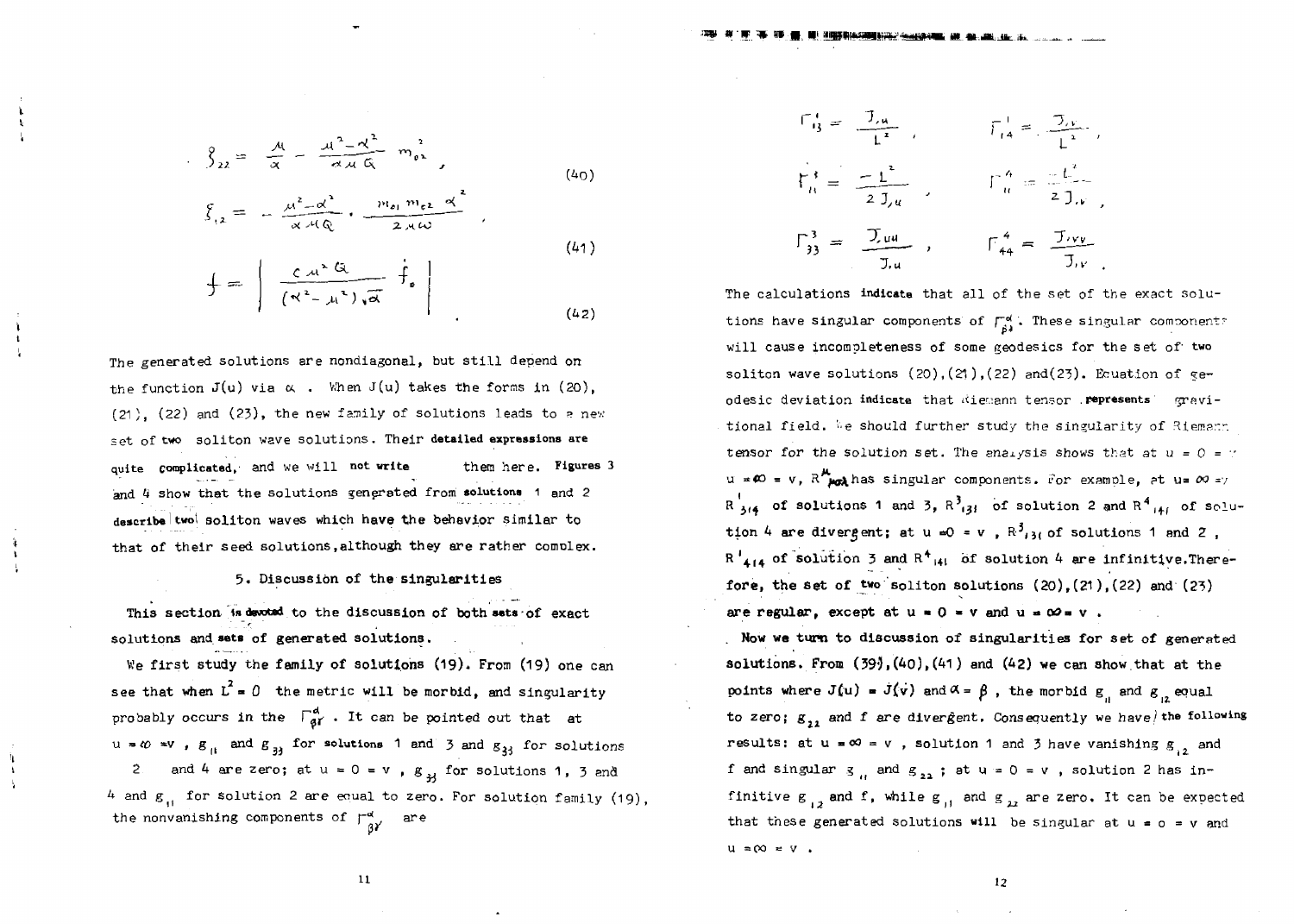$$
\beta_{22} = \frac{\mu}{\alpha} - \frac{\mu^2 - {\alpha'}^2}{\alpha \mu G} m_{\rho_1}^2
$$
 (40)

$$
\bar{S}_{12} = -\frac{\mu^2 - \alpha^2}{\alpha \mu Q} \cdot \frac{m_{e1} m_{e2} \alpha^2}{2 \pi \omega} \qquad (41)
$$

$$
f = \left| \frac{c \mu^* G}{(\mu^2 - \mu^*) \sqrt{\alpha}} \right| \qquad (42)
$$

The generated solutions are nondiagonal, but still depend on the function  $J(u)$  via  $\alpha$ . When  $J(u)$  takes the forms in (20),  $(21)$ ,  $(22)$  and  $(23)$ , the new family of solutions leads to a new set of two soliton wave solutions. Their detailed expressions are quite complicated, and we will not write them here. Figures 3 and 4 show that the solutions generated from solutions 1 and 2 describe two! soliton waves which have the behavior similar to that of their seed solutions.although they are rather complex.

#### 5. Discussion of the singularities

This section is devoted to the discussion of both sets of exact solutions and sets of generated solutions.

We first study the family of solutions (19). From (19) one can see that when  $L^2 = 0$  the metric will be morbid, and singularity probably occurs in the  $\Gamma_{\text{gr}}^d$ . It can be pointed out that at  $\omega$  \*v ,  $g_{\mu}$  and  $g_{\mu}$  for solutions 1 and 3 and  $g_{\mu}$  for solutions 2 and 4 are zero; at  $u = 0 = v$  ,  $g_{01}$  for solutions 1, 3 a 4 and  $g_{11}$  for solution 2 are equal to zero. For solution family (19), the nonvanishing components of  $\Gamma_{\alpha\gamma}^{\alpha}$  are

$$
\Gamma_{13}^{+} = \frac{J_{.u}}{L^{2}} , \qquad \Gamma_{14}^{+} = \frac{J_{.v}}{L^{2}} ,
$$

$$
\Gamma_{14}^{3} = \frac{-L^{2}}{2 J_{.u}} , \qquad \Gamma_{11}^{4} = \frac{-L^{2}}{2 J_{.v}} ,
$$

$$
\Gamma_{33}^{3} = \frac{J_{.uu}}{J_{.u}} , \qquad \Gamma_{44}^{4} = \frac{J_{.vv}}{J_{.v}} .
$$

The calculations indicate that all of the set of the exact solutions have singular components of  $f_{\beta}^{\alpha}$ . These singular components will cause incompleteness of some geodesies for the set of' two soliton wave solutions  $(20), (21), (22)$  and $(23)$ . Equation of geodesic deviation indicate that Kienenn tensor .represents' gravitional field. We should further study the singularity of Riemann tensor for the solution set. The analysis shows that at  $u = 0 = r$  $u = \omega = v$ ,  $R^{\mu}$ <sub>pa</sub> has singular components, for example, at u=  $\omega$  =*y*  $R$   $_{3/4}$  of solutions 1 and 3,  $R$   $_{13/}$  of solution 2 and  $R$   $_{14/}$  of solution 4 are divergent; at u =0 = v ,  $R^3_{131}$  of solutions 1 and 2 ,  $R^{+}$ <sub>414</sub> of solution 3 and  $R^{+}$ <sub>141</sub> of solution 4 are infinitive. Therefore, the set of two soliton solutions  $(20)$ , $(21)$ , $(22)$  and  $(23)$ are regular, except at  $u = 0 = v$  and  $u = \infty = v$ .

Now we turn to discussion of singularities for set of generated solutions. From  $(39)$ ,  $(40)$ ,  $(41)$  and  $(42)$  we can show that at the points where  $J(u) = J(v)$  and  $\alpha = \beta$ , the morbid  $g_{ij}$  and  $g_{ij}$  equal to zero;  $g_{\mu\nu}$  and f are divergent. Consequently we have the following results: at  $u = \infty = v$ , solution 1 and 3 have vanishing  $g_{12}$  and f and singular  $s_{1}$  and  $s_{2}$ , ; at u = 0 = v , solution 2 has infinitive  $g_{13}$  and f, while  $g_{11}$  and  $g_{22}$  are zero. It can be expected that these generated solutions will be singular at  $u = o = v$  and  $u = \infty = v$ .

**l l 12**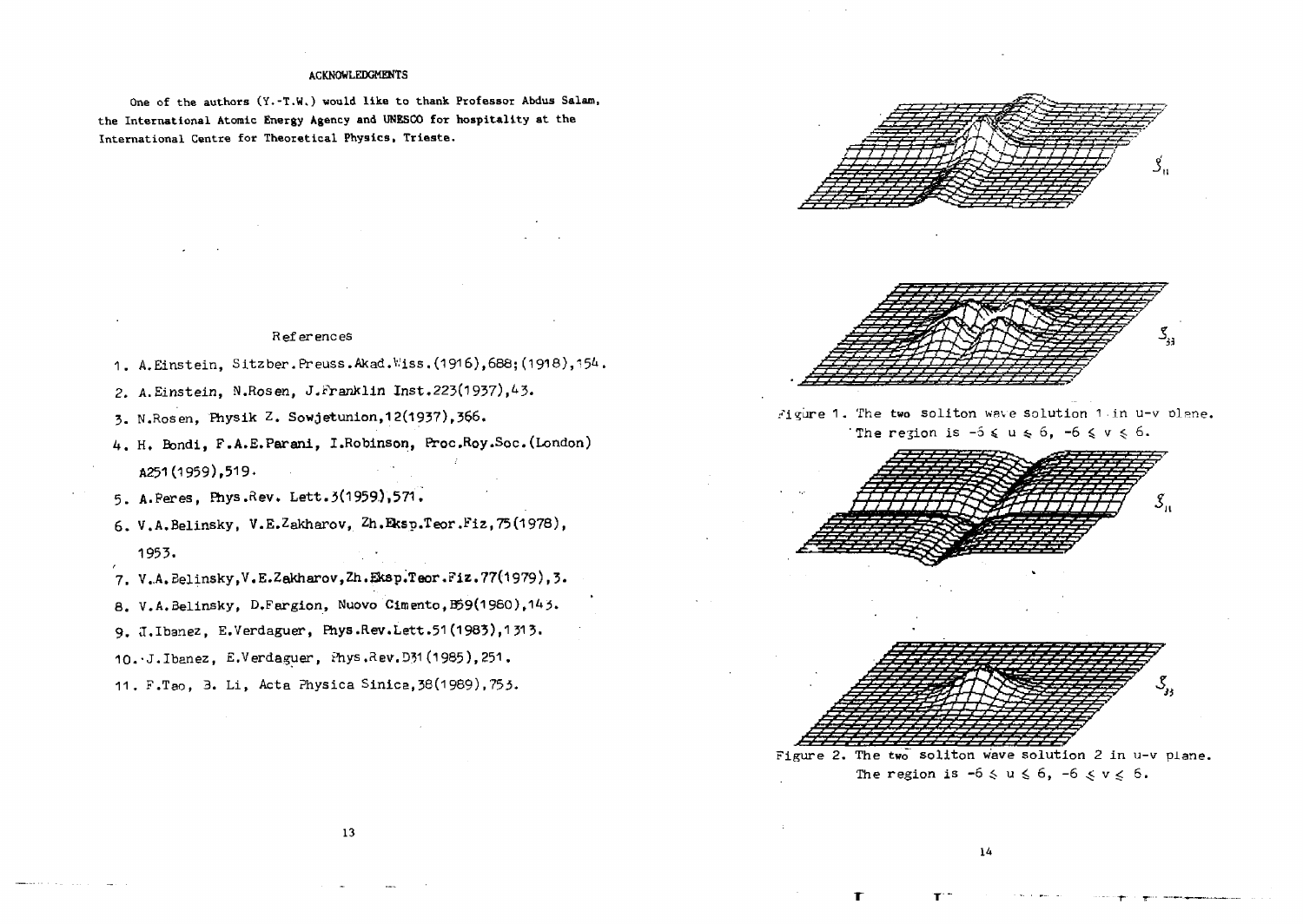#### **ACKNOWLEDGMENTS**

One of the authors (Y.-T.W.) would like to thank Professor Abdus Salam, the International Atomic Energy Agency and UNESCO for hospitality at the International Centre for Theoretical Physics, Trieste.

#### References

- 1. A. Einstein, Sitzber. Preuss. Akad. Wiss. (1916), 688; (1918), 154.
- 2. A. Einstein, N. Rosen, J. Franklin Inst. 223(1937), 43.
- 3. N.Rosen, Physik Z. Sowjetunion, 12(1937), 366.
- 4. H. Bondi, F.A.E.Parani, I.Robinson, Proc.Roy.Soc. (London) A251 (1959), 519.
- 5. A.Peres, Phys. Rev. Lett. 3(1959), 571.
- 6. V.A.Belinsky, V.E.Zakharov, Zh.Eksp.Teor.Fiz, 75(1978), 1953.

7. V.A. Belinsky, V.E. Zakharov, Zh. Eksp. Teor. Fiz. 77(1979), 3. 8. V.A.Belinsky, D.Fargion, Nuovo Cimento, B59(1980), 143.

- 9. J. Ibanez, E. Verdaguer, Phys. Rev. Lett. 51 (1983), 1313.
- 10. J. Ibanez, E.Verdaguer, Phys. Rev. D31 (1985), 251.
- 11. F.Tao. 3. Li, Acta Physica Sinica, 38(1989), 753.





Figure 1. The two soliton wave solution 1 in u-v plane. The region is  $-5 \le u \le 6$ ,  $-6 \le v \le 6$ .





Figure 2. The two soliton wave solution 2 in u-v plane. The region is  $-6 \le u \le 6$ ,  $-6 \le v \le 6$ .

 $14$ 

13